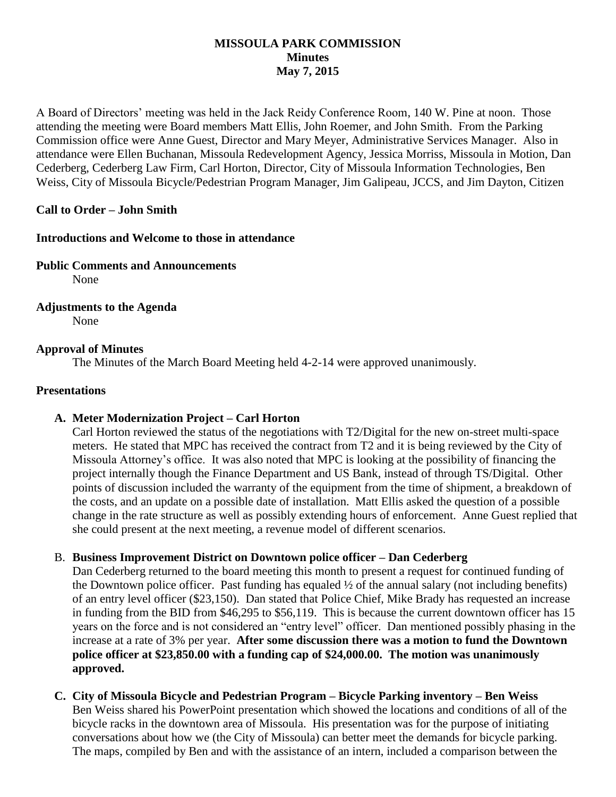#### **MISSOULA PARK COMMISSION Minutes May 7, 2015**

A Board of Directors' meeting was held in the Jack Reidy Conference Room, 140 W. Pine at noon. Those attending the meeting were Board members Matt Ellis, John Roemer, and John Smith. From the Parking Commission office were Anne Guest, Director and Mary Meyer, Administrative Services Manager. Also in attendance were Ellen Buchanan, Missoula Redevelopment Agency, Jessica Morriss, Missoula in Motion, Dan Cederberg, Cederberg Law Firm, Carl Horton, Director, City of Missoula Information Technologies, Ben Weiss, City of Missoula Bicycle/Pedestrian Program Manager, Jim Galipeau, JCCS, and Jim Dayton, Citizen

#### **Call to Order – John Smith**

#### **Introductions and Welcome to those in attendance**

**Public Comments and Announcements**

None

**Adjustments to the Agenda** None

#### **Approval of Minutes**

The Minutes of the March Board Meeting held 4-2-14 were approved unanimously.

#### **Presentations**

## **A. Meter Modernization Project – Carl Horton**

Carl Horton reviewed the status of the negotiations with T2/Digital for the new on-street multi-space meters. He stated that MPC has received the contract from T2 and it is being reviewed by the City of Missoula Attorney's office. It was also noted that MPC is looking at the possibility of financing the project internally though the Finance Department and US Bank, instead of through TS/Digital. Other points of discussion included the warranty of the equipment from the time of shipment, a breakdown of the costs, and an update on a possible date of installation. Matt Ellis asked the question of a possible change in the rate structure as well as possibly extending hours of enforcement. Anne Guest replied that she could present at the next meeting, a revenue model of different scenarios.

#### B. **Business Improvement District on Downtown police officer – Dan Cederberg**

Dan Cederberg returned to the board meeting this month to present a request for continued funding of the Downtown police officer. Past funding has equaled ½ of the annual salary (not including benefits) of an entry level officer (\$23,150). Dan stated that Police Chief, Mike Brady has requested an increase in funding from the BID from \$46,295 to \$56,119. This is because the current downtown officer has 15 years on the force and is not considered an "entry level" officer. Dan mentioned possibly phasing in the increase at a rate of 3% per year. **After some discussion there was a motion to fund the Downtown police officer at \$23,850.00 with a funding cap of \$24,000.00. The motion was unanimously approved.**

**C. City of Missoula Bicycle and Pedestrian Program – Bicycle Parking inventory – Ben Weiss** Ben Weiss shared his PowerPoint presentation which showed the locations and conditions of all of the bicycle racks in the downtown area of Missoula. His presentation was for the purpose of initiating conversations about how we (the City of Missoula) can better meet the demands for bicycle parking. The maps, compiled by Ben and with the assistance of an intern, included a comparison between the